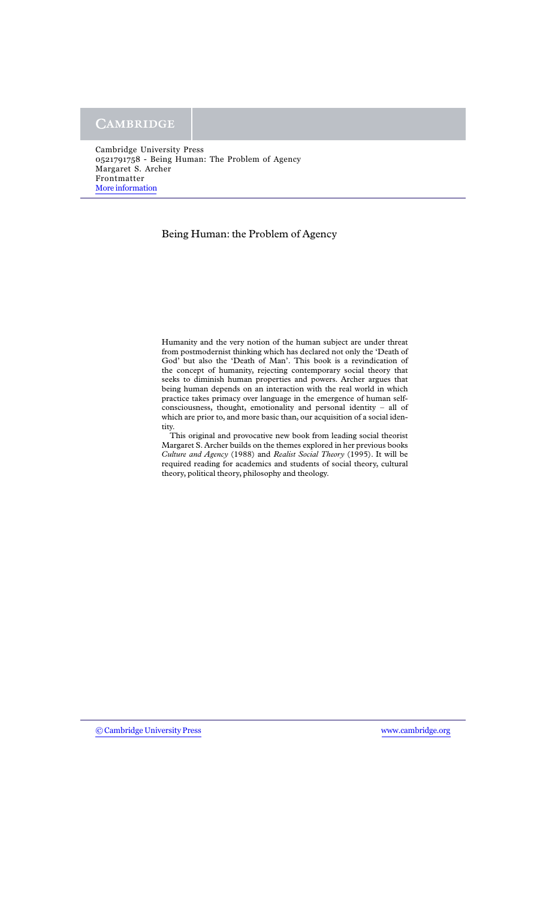#### Being Human: the Problem of Agency

Humanity and the very notion of the human subject are under threat from postmodernist thinking which has declared not only the 'Death of God' but also the 'Death of Man'. This book is a revindication of the concept of humanity, rejecting contemporary social theory that seeks to diminish human properties and powers. Archer argues that being human depends on an interaction with the real world in which practice takes primacy over language in the emergence of human selfconsciousness, thought, emotionality and personal identity – all of which are prior to, and more basic than, our acquisition of a social identity.

This original and provocative new book from leading social theorist Margaret S. Archer builds on the themes explored in her previous books *Culture and Agency* (1988) and *Realist Social Theory* (1995). It will be required reading for academics and students of social theory, cultural theory, political theory, philosophy and theology.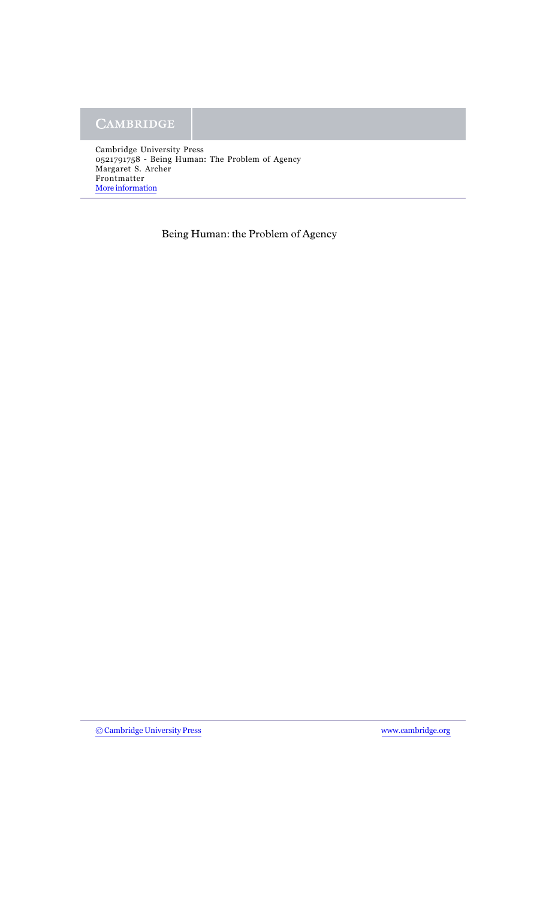Being Human: the Problem of Agency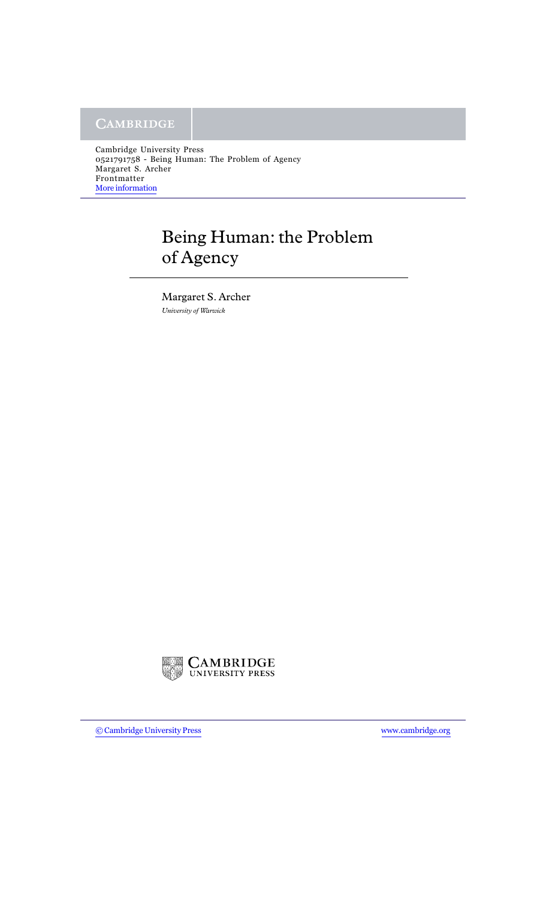# Being Human: the Problem of Agency

Margaret S. Archer *University of Warwick*

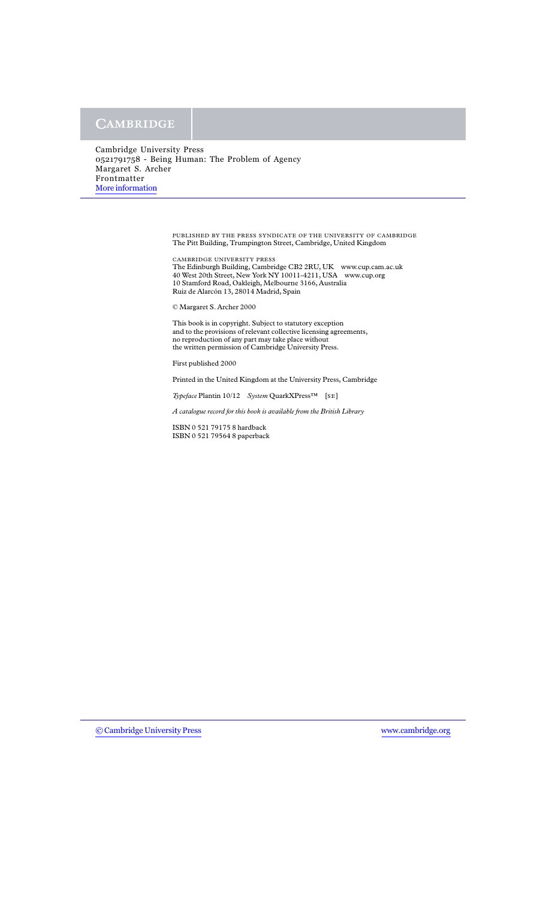> PUBLISHED BY THE PRESS SYNDICATE OF THE UNIVERSITY OF CAMBRIDGE The Pitt Building, Trumpington Street, Cambridge, United Kingdom

CAMBRIDGE UNIVERSITY PRESS The Edinburgh Building, Cambridge CB2 2RU, UK www.cup.cam.ac.uk 40 West 20th Street, New York NY 10011-4211, USA www.cup.org 10 Stamford Road, Oakleigh, Melbourne 3166, Australia Ruiz de Alarcón 13, 28014 Madrid, Spain

© Margaret S. Archer 2000

This book is in copyright. Subject to statutory exception and to the provisions of relevant collective licensing agreements, no reproduction of any part may take place without the written permission of Cambridge University Press.

First published 2000

Printed in the United Kingdom at the University Press, Cambridge

*Typeface* Plantin 10/12 *System* QuarkXPress™ [SE]

*A catalogue record for this book is available from the British Library*

ISBN 0 521 79175 8 hardback ISBN 0 521 79564 8 paperback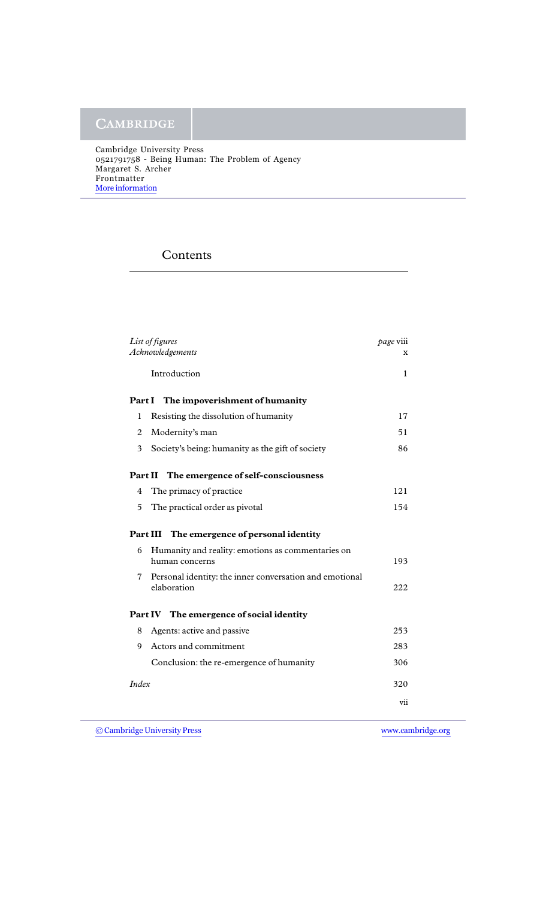## Contents

| List of figures<br>Acknowledgements                |                                                                        | page viii<br>x |  |
|----------------------------------------------------|------------------------------------------------------------------------|----------------|--|
|                                                    | Introduction                                                           | 1              |  |
| Part I<br>The impoverishment of humanity           |                                                                        |                |  |
| 1                                                  | Resisting the dissolution of humanity                                  | 17             |  |
| $\overline{2}$                                     | Modernity's man                                                        | 51             |  |
| 3                                                  | Society's being: humanity as the gift of society                       | 86             |  |
| The emergence of self-consciousness<br>Part II     |                                                                        |                |  |
| 4                                                  | The primacy of practice                                                | 121            |  |
| 5                                                  | The practical order as pivotal                                         | 154            |  |
| The emergence of personal identity<br>Part III     |                                                                        |                |  |
| 6                                                  | Humanity and reality: emotions as commentaries on<br>human concerns    | 193            |  |
| 7                                                  | Personal identity: the inner conversation and emotional<br>elaboration | 222            |  |
| The emergence of social identity<br><b>Part IV</b> |                                                                        |                |  |
| 8                                                  | Agents: active and passive                                             | 253            |  |
| 9                                                  | Actors and commitment                                                  | 283            |  |
|                                                    | Conclusion: the re-emergence of humanity                               | 306            |  |
| <b>Index</b>                                       |                                                                        | 320            |  |
|                                                    |                                                                        | vii            |  |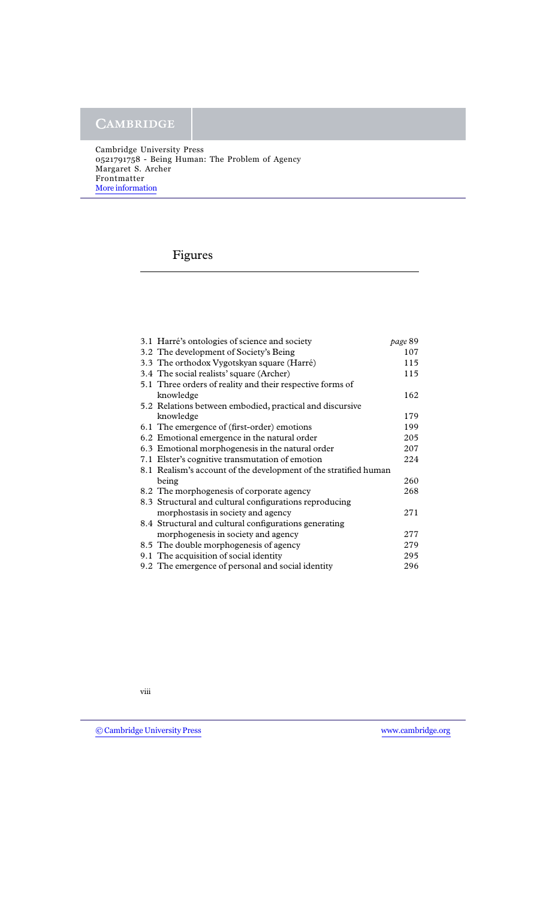### Figures

| 3.1 Harré's ontologies of science and society                    | page 89 |
|------------------------------------------------------------------|---------|
| 3.2 The development of Society's Being                           | 107     |
| 3.3 The orthodox Vygotskyan square (Harré)                       | 115     |
| 3.4 The social realists' square (Archer)                         | 115     |
| 5.1 Three orders of reality and their respective forms of        |         |
| knowledge                                                        | 162     |
| 5.2 Relations between embodied, practical and discursive         |         |
| knowledge                                                        | 179     |
| 6.1 The emergence of (first-order) emotions                      | 199     |
| 6.2 Emotional emergence in the natural order                     | 205     |
| 6.3 Emotional morphogenesis in the natural order                 | 207     |
| 7.1 Elster's cognitive transmutation of emotion                  | 224     |
| 8.1 Realism's account of the development of the stratified human |         |
| being                                                            | 260     |
| 8.2 The morphogenesis of corporate agency                        | 268     |
| 8.3 Structural and cultural configurations reproducing           |         |
| morphostasis in society and agency                               | 271     |
| 8.4 Structural and cultural configurations generating            |         |
| morphogenesis in society and agency                              | 277     |
| 8.5 The double morphogenesis of agency                           | 279     |
| 9.1 The acquisition of social identity                           | 295     |
| 9.2 The emergence of personal and social identity                | 296     |
|                                                                  |         |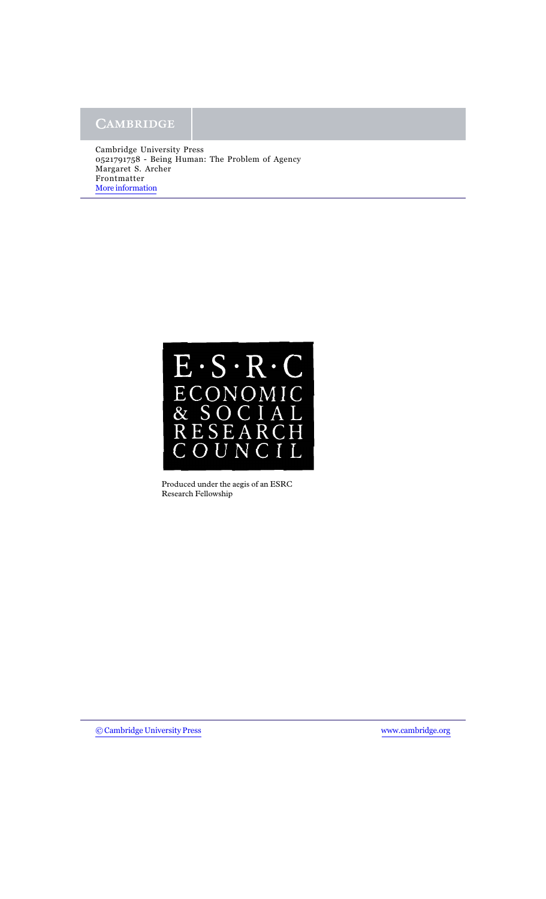

Produced under the aegis of an ESRC Research Fellowship